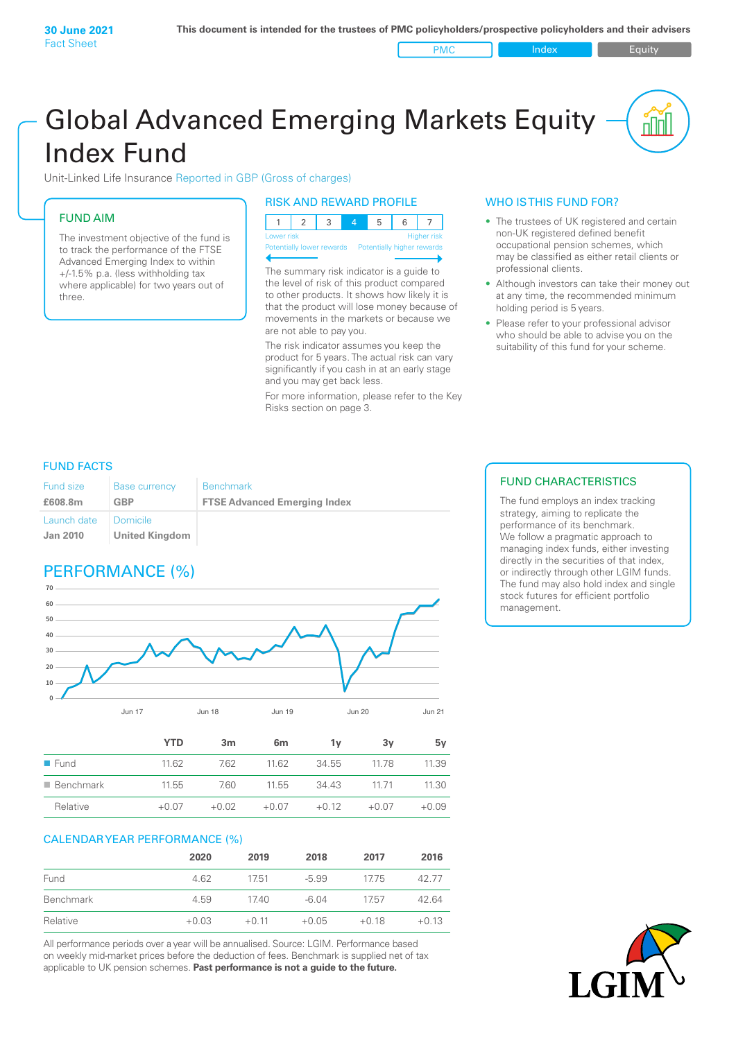PMC Index PMC Equity

# Global Advanced Emerging Markets Equity Index Fund

Unit-Linked Life Insurance Reported in GBP (Gross of charges)

# FUND AIM

The investment objective of the fund is to track the performance of the FTSE Advanced Emerging Index to within +/‑1.5% p.a. (less withholding tax where applicable) for two years out of three.

### RISK AND REWARD PROFILE

| Lower risk |  |  | <b>Higher risk</b> |
|------------|--|--|--------------------|

ntially lower rewards

The summary risk indicator is a guide to the level of risk of this product compared to other products. It shows how likely it is that the product will lose money because of movements in the markets or because we are not able to pay you.

The risk indicator assumes you keep the product for 5 years. The actual risk can vary significantly if you cash in at an early stage and you may get back less.

For more information, please refer to the Key Risks section on page 3.

# WHO IS THIS FUND FOR?

- The trustees of UK registered and certain non-UK registered defined benefit occupational pension schemes, which may be classified as either retail clients or professional clients.
- Although investors can take their money out at any time, the recommended minimum holding period is 5 years.
- Please refer to your professional advisor who should be able to advise you on the suitability of this fund for your scheme.

## FUND FACTS

| <b>Fund size</b>               | <b>Base currency</b>              | <b>Benchmark</b>                    |
|--------------------------------|-----------------------------------|-------------------------------------|
| £608.8m                        | GBP                               | <b>FTSE Advanced Emerging Index</b> |
| Launch date<br><b>Jan 2010</b> | Domicile<br><b>United Kingdom</b> |                                     |

# PERFORMANCE (%)



|                          | YTD     | 3m      | 6 <sub>m</sub> | 1ν      | 3v      | 5v      |
|--------------------------|---------|---------|----------------|---------|---------|---------|
| $\blacksquare$ Fund      | 11.62   | 7.62    | 11.62          | 34.55   | 11.78   | 11.39   |
| $\blacksquare$ Benchmark | 11.55   | 7.60    | 11.55          | 34.43   | 11 71   | 11.30   |
| Relative                 | $+0.07$ | $+0.02$ | $+0.07$        | $+0.12$ | $+0.07$ | $+0.09$ |

#### CALENDAR YEAR PERFORMANCE (%)

|           | 2020    | 2019    | 2018    | 2017    | 2016    |
|-----------|---------|---------|---------|---------|---------|
| Fund      | 4.62    | 1751    | $-5.99$ | 1775    | 42.77   |
| Benchmark | 4.59    | 17.40   | $-6.04$ | 1757    | 42.64   |
| Relative  | $+0.03$ | $+0.11$ | $+0.05$ | $+0.18$ | $+0.13$ |

All performance periods over a year will be annualised. Source: LGIM. Performance based on weekly mid-market prices before the deduction of fees. Benchmark is supplied net of tax applicable to UK pension schemes. **Past performance is not a guide to the future.**

# FUND CHARACTERISTICS

The fund employs an index tracking strategy, aiming to replicate the performance of its benchmark. We follow a pragmatic approach to managing index funds, either investing directly in the securities of that index, or indirectly through other LGIM funds. The fund may also hold index and single stock futures for efficient portfolio management.

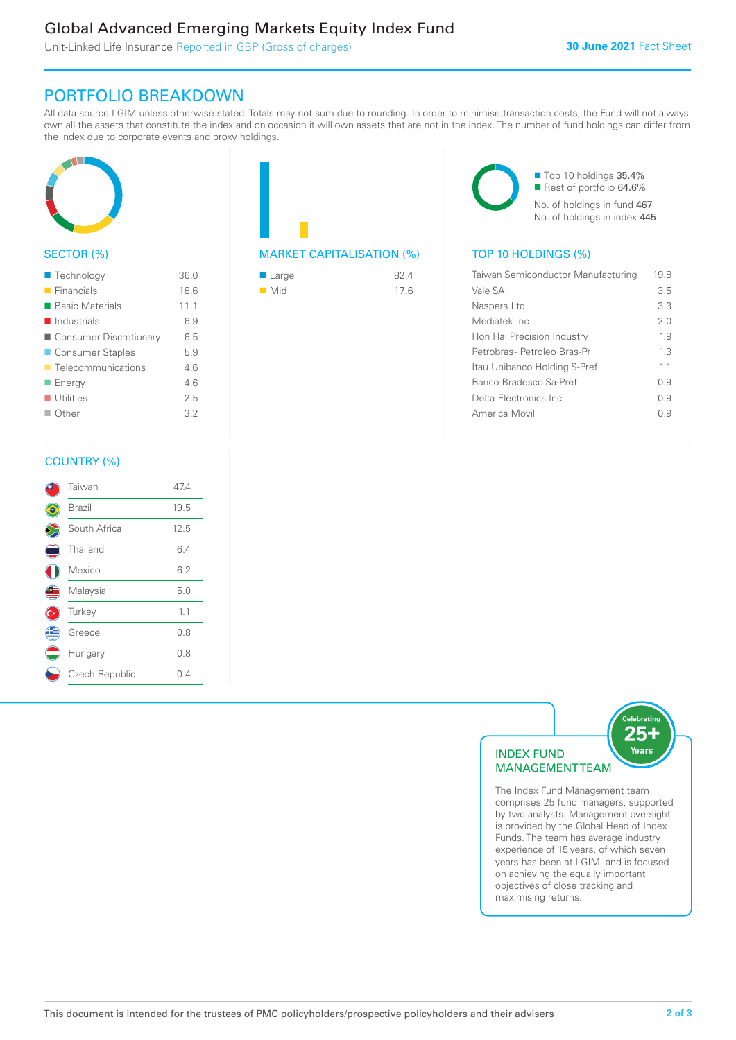# Global Advanced Emerging Markets Equity Index Fund

Unit-Linked Life Insurance Reported in GBP (Gross of charges)

# PORTFOLIO BREAKDOWN

All data source LGIM unless otherwise stated. Totals may not sum due to rounding. In order to minimise transaction costs, the Fund will not always own all the assets that constitute the index and on occasion it will own assets that are not in the index. The number of fund holdings can differ from the index due to corporate events and proxy holdings.



# SECTOR (%)

| ■ Technology               | 36.0 |
|----------------------------|------|
| $\blacksquare$ Financials  | 18.6 |
| ■ Basic Materials          | 11.1 |
| $\blacksquare$ Industrials | 6.9  |
| ■ Consumer Discretionary   | 6.5  |
| ■ Consumer Staples         | 5.9  |
| ■ Telecommunications       | 4.6  |
| ■ Energy                   | 46   |
| $\blacksquare$ Utilities   | 25   |
| $\blacksquare$ Other       | 3.2  |
|                            |      |

| <b>MARKET CAPITALISATION (%)</b> |  |
|----------------------------------|--|

| ■ Large            | 824  |
|--------------------|------|
| $\blacksquare$ Mid | 17.6 |

■ Top 10 holdings 35.4% Rest of portfolio 64.6% No. of holdings in fund 467 No. of holdings in index 445

# TOP 10 HOLDINGS (%)

| Taiwan Semiconductor Manufacturing | 19.8 |
|------------------------------------|------|
| Vale SA                            | 3.5  |
| Naspers Ltd                        | 3.3  |
| Mediatek Inc                       | 2.0  |
| Hon Hai Precision Industry         | 1.9  |
| Petrobras- Petroleo Bras-Pr        | 1.3  |
| Itau Unibanco Holding S-Pref       | 11   |
| Banco Bradesco Sa-Pref             | 09   |
| Delta Electronics Inc              | 09   |
| America Movil                      | () 9 |
|                                    |      |

### COUNTRY (%)

|   | Taiwan         | 47.4 |  |
|---|----------------|------|--|
|   | Brazil         | 19.5 |  |
|   | South Africa   | 12.5 |  |
|   | Thailand       | 6.4  |  |
|   | Mexico         | 6.2  |  |
| ⋐ | Malaysia       | 5.0  |  |
|   | Turkey         | 1.1  |  |
| Ê | Greece         | 0.8  |  |
|   | Hungary        | 0.8  |  |
|   | Czech Republic | 0.4  |  |
|   |                |      |  |



comprises 25 fund managers, supported by two analysts. Management oversight is provided by the Global Head of Index Funds. The team has average industry experience of 15 years, of which seven years has been at LGIM, and is focused on achieving the equally important objectives of close tracking and maximising returns.